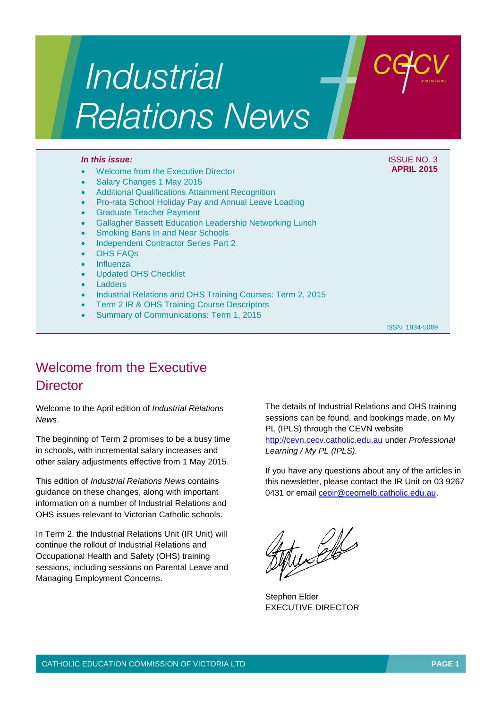# Industrial **Relations News**

#### *In this issue:* ISSUE NO. 3

#### Welcome from the Executive Director

- Salary Changes 1 May 2015
- Additional Qualifications Attainment Recognition
- Pro-rata School Holiday Pay and Annual Leave Loading
- Graduate Teacher Payment
- Gallagher Bassett Education Leadership Networking Lunch
- Smoking Bans In and Near Schools
- Independent Contractor Series Part 2
- OHS FAQs
- Influenza
- Updated OHS Checklist
- Ladders
- Industrial Relations and OHS Training Courses: Term 2, 2015
- Term 2 IR & OHS Training Course Descriptors
- Summary of Communications: Term 1, 2015

ISSN: 1834-5069

**APRIL 2015**

# Welcome from the Executive **Director**

Welcome to the April edition of *Industrial Relations News*.

The beginning of Term 2 promises to be a busy time in schools, with incremental salary increases and other salary adjustments effective from 1 May 2015.

This edition of *Industrial Relations News* contains guidance on these changes, along with important information on a number of Industrial Relations and OHS issues relevant to Victorian Catholic schools.

In Term 2, the Industrial Relations Unit (IR Unit) will continue the rollout of Industrial Relations and Occupational Health and Safety (OHS) training sessions, including sessions on Parental Leave and Managing Employment Concerns.

The details of Industrial Relations and OHS training sessions can be found, and bookings made, on My PL (IPLS) through the CEVN website [http://cevn.cecv.catholic.edu.au](http://cevn.cecv.catholic.edu.au/) under *Professional Learning / My PL (IPLS).*

If you have any questions about any of the articles in this newsletter, please contact the IR Unit on 03 9267 0431 or email [ceoir@ceomelb.catholic.edu.au.](mailto:ceoir@ceomelb.catholic.edu.au)

the Elle

Stephen Elder EXECUTIVE DIRECTOR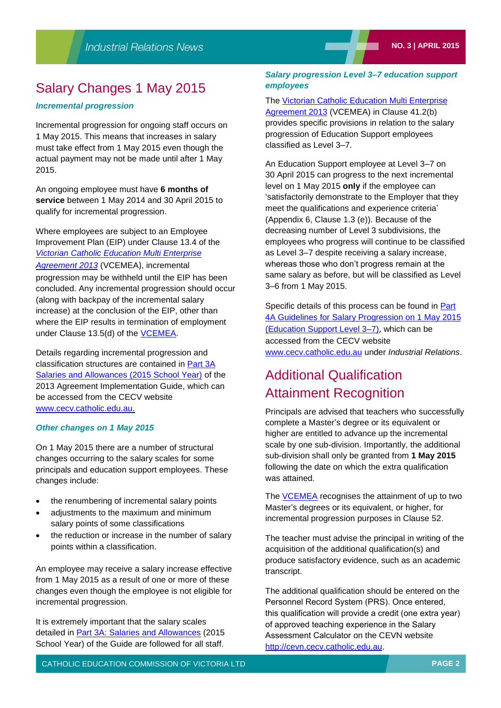# Salary Changes 1 May 2015

# *Incremental progression*

Incremental progression for ongoing staff occurs on 1 May 2015. This means that increases in salary must take effect from 1 May 2015 even though the actual payment may not be made until after 1 May 2015.

An ongoing employee must have **6 months of service** between 1 May 2014 and 30 April 2015 to qualify for incremental progression.

Where employees are subject to an Employee Improvement Plan (EIP) under Clause 13.4 of the *[Victorian Catholic Education Multi Enterprise](http://web.cecv.catholic.edu.au/vcsa/Agreement_2013/VCEMEA_2013.pdf)  [Agreement 2013](http://web.cecv.catholic.edu.au/vcsa/Agreement_2013/VCEMEA_2013.pdf)* (VCEMEA), incremental progression may be withheld until the EIP has been concluded. Any incremental progression should occur (along with backpay of the incremental salary increase) at the conclusion of the EIP, other than where the EIP results in termination of employment under Clause 13.5(d) of the [VCEMEA.](http://web.cecv.catholic.edu.au/vcsa/Agreement_2013/VCEMEA_2013.pdf)

Details regarding incremental progression and classification structures are contained in [Part 3A](http://www.cecv.catholic.edu.au/vcsa/Implementation_Guidelines/Part%203A.pdf)  [Salaries and Allowances \(2015 School Year\)](http://www.cecv.catholic.edu.au/vcsa/Implementation_Guidelines/Part%203A.pdf) of the 2013 Agreement Implementation Guide, which can be accessed from the CECV website [www.cecv.catholic.edu.au.](file:///C:/Users/lwilton/Desktop/COMS%20track%20changes%20for%20feedback/17%20April/www.cecv.catholic.edu.au)

#### *Other changes on 1 May 2015*

On 1 May 2015 there are a number of structural changes occurring to the salary scales for some principals and education support employees. These changes include:

- the renumbering of incremental salary points
- adjustments to the maximum and minimum salary points of some classifications
- the reduction or increase in the number of salary points within a classification.

An employee may receive a salary increase effective from 1 May 2015 as a result of one or more of these changes even though the employee is not eligible for incremental progression.

It is extremely important that the salary scales detailed in [Part 3A: Salaries and Allowances](http://www.cecv.catholic.edu.au/vcsa/Implementation_Guidelines/Part%203A.pdf) (2015 School Year) of the Guide are followed for all staff.

# *Salary progression Level 3–7 education support employees*

#### The [Victorian Catholic Education Multi Enterprise](http://web.cecv.catholic.edu.au/vcsa/Agreement_2013/VCEMEA_2013.pdf)

[Agreement 2013](http://web.cecv.catholic.edu.au/vcsa/Agreement_2013/VCEMEA_2013.pdf) (VCEMEA) in Clause 41.2(b) provides specific provisions in relation to the salary progression of Education Support employees classified as Level 3–7.

An Education Support employee at Level 3–7 on 30 April 2015 can progress to the next incremental level on 1 May 2015 **only** if the employee can 'satisfactorily demonstrate to the Employer that they meet the qualifications and experience criteria' (Appendix 6, Clause 1.3 (e)). Because of the decreasing number of Level 3 subdivisions, the employees who progress will continue to be classified as Level 3–7 despite receiving a salary increase, whereas those who don't progress remain at the same salary as before, but will be classified as Level 3–6 from 1 May 2015.

Specific details of this process can be found in **Part** [4A Guidelines for Salary Progression on 1 May 2015](http://www.cecv.catholic.edu.au/vcsa/Implementation_Guidelines/ES_Progression_2015/Part_4a.pdf) [\(Education Support Level 3–7\)](http://www.cecv.catholic.edu.au/vcsa/Implementation_Guidelines/ES_Progression_2015/Part_4a.pdf), which can be accessed from the CECV website [www.cecv.catholic.edu.au](file:///C:/Users/lwilton/Desktop/COMS%20track%20changes%20for%20feedback/17%20April/www.cecv.catholic.edu.au) under *Industrial Relations*.

# Additional Qualification Attainment Recognition

Principals are advised that teachers who successfully complete a Master's degree or its equivalent or higher are entitled to advance up the incremental scale by one sub-division. Importantly, the additional sub-division shall only be granted from **1 May 2015** following the date on which the extra qualification was attained.

The [VCEMEA r](http://web.cecv.catholic.edu.au/vcsa/Agreement_2013/VCEMEA_2013.pdf)ecognises the attainment of up to two Master's degrees or its equivalent, or higher, for incremental progression purposes in Clause 52.

The teacher must advise the principal in writing of the acquisition of the additional qualification(s) and produce satisfactory evidence, such as an academic transcript.

The additional qualification should be entered on the Personnel Record System (PRS). Once entered, this qualification will provide a credit (one extra year) of approved teaching experience in the Salary Assessment Calculator on the CEVN website [http://cevn.cecv.catholic.edu.au.](http://cevn.cecv.catholic.edu.au/)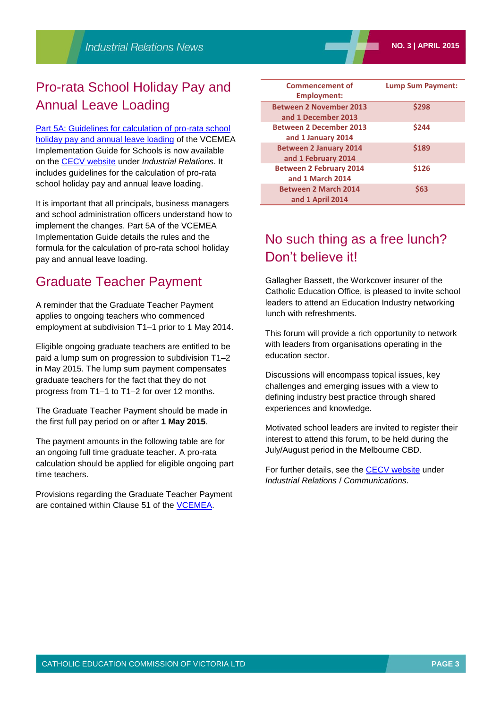# Pro-rata School Holiday Pay and Annual Leave Loading

[Part 5A: Guidelines for calculation of pro-rata school](http://web.cecv.catholic.edu.au/vcsa/Implementation_Guidelines/School_Holiday_Pay_2015/Part_5A.pdf)  [holiday pay and annual leave loading](http://web.cecv.catholic.edu.au/vcsa/Implementation_Guidelines/School_Holiday_Pay_2015/Part_5A.pdf) of the VCEMEA Implementation Guide for Schools is now available on the [CECV website](http://www.cecv.catholic.edu.au/) under *Industrial Relations*. It includes guidelines for the calculation of pro-rata school holiday pay and annual leave loading.

It is important that all principals, business managers and school administration officers understand how to implement the changes. Part 5A of the VCEMEA Implementation Guide details the rules and the formula for the calculation of pro-rata school holiday pay and annual leave loading.

# Graduate Teacher Payment

A reminder that the Graduate Teacher Payment applies to ongoing teachers who commenced employment at subdivision T1–1 prior to 1 May 2014.

Eligible ongoing graduate teachers are entitled to be paid a lump sum on progression to subdivision T1–2 in May 2015. The lump sum payment compensates graduate teachers for the fact that they do not progress from T1–1 to T1–2 for over 12 months.

The Graduate Teacher Payment should be made in the first full pay period on or after **1 May 2015**.

The payment amounts in the following table are for an ongoing full time graduate teacher. A pro-rata calculation should be applied for eligible ongoing part time teachers.

Provisions regarding the Graduate Teacher Payment are contained within Clause 51 of the [VCEMEA.](http://web.cecv.catholic.edu.au/vcsa/Agreement_2013/VCEMEA_2013.pdf)

| <b>Commencement of</b><br><b>Employment:</b>          | <b>Lump Sum Payment:</b> |
|-------------------------------------------------------|--------------------------|
| <b>Between 2 November 2013</b><br>and 1 December 2013 | \$298                    |
| <b>Between 2 December 2013</b><br>and 1 January 2014  | \$244                    |
| <b>Between 2 January 2014</b><br>and 1 February 2014  | \$189                    |
| <b>Between 2 February 2014</b><br>and 1 March 2014    | \$126                    |
| <b>Between 2 March 2014</b><br>and 1 April 2014       | <b>\$63</b>              |

# No such thing as a free lunch? Don't believe it!

Gallagher Bassett, the Workcover insurer of the Catholic Education Office, is pleased to invite school leaders to attend an Education Industry networking lunch with refreshments.

This forum will provide a rich opportunity to network with leaders from organisations operating in the education sector.

Discussions will encompass topical issues, key challenges and emerging issues with a view to defining industry best practice through shared experiences and knowledge.

Motivated school leaders are invited to register their interest to attend this forum, to be held during the July/August period in the Melbourne CBD.

For further details, see the [CECV website](http://www.cecv.catholic.edu.au/) under *Industrial Relations* / *Communications*.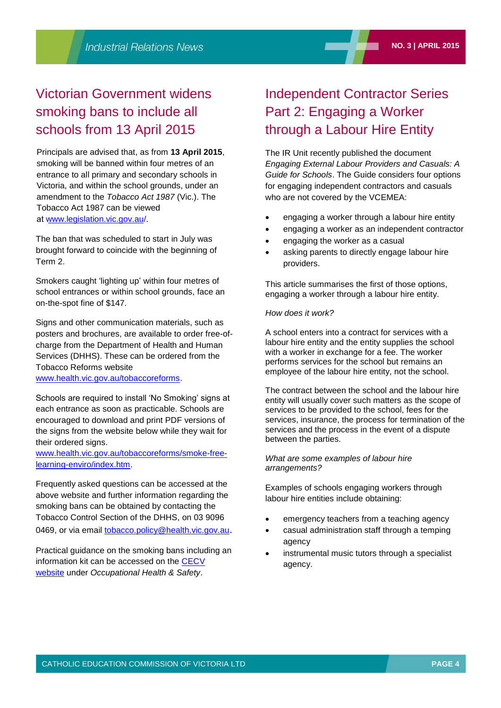# Victorian Government widens smoking bans to include all schools from 13 April 2015

Principals are advised that, as from **13 April 2015**, smoking will be banned within four metres of an entrance to all primary and secondary schools in Victoria, and within the school grounds, under an amendment to the *Tobacco Act 1987* (Vic.). The Tobacco Act 1987 can be viewed at [www.legislation.vic.gov.au/.](http://www.legislation.vic.gov.au/) 

The ban that was scheduled to start in July was brought forward to coincide with the beginning of Term 2.

Smokers caught 'lighting up' within four metres of school entrances or within school grounds, face an on-the-spot fine of \$147.

Signs and other communication materials, such as posters and brochures, are available to order free-ofcharge from the Department of Health and Human Services (DHHS). These can be ordered from the Tobacco Reforms website

[www.health.vic.gov.au/tobaccoreforms.](http://www.health.vic.gov.au/tobaccoreforms)

Schools are required to install 'No Smoking' signs at each entrance as soon as practicable. Schools are encouraged to download and print PDF versions of the signs from the website below while they wait for their ordered signs.

[www.health.vic.gov.au/tobaccoreforms/smoke-free](http://www.health.vic.gov.au/tobaccoreforms/smoke-free-learning-enviro/index.htm)[learning-enviro/index.htm.](http://www.health.vic.gov.au/tobaccoreforms/smoke-free-learning-enviro/index.htm)

Frequently asked questions can be accessed at the above website and further information regarding the smoking bans can be obtained by contacting the Tobacco Control Section of the DHHS, on 03 9096 0469, or via email [tobacco.policy@health.vic.gov.au](mailto:tobacco.policy@health.vic.gov.au).

Practical guidance on the smoking bans including an information kit can be accessed on the [CECV](http://www.cecv.catholic.edu.au/)  [website](http://www.cecv.catholic.edu.au/) under *Occupational Health & Safety*.

# Independent Contractor Series Part 2: Engaging a Worker through a Labour Hire Entity

The IR Unit recently published the document *Engaging External Labour Providers and Casuals: A Guide for Schools*. The Guide considers four options for engaging independent contractors and casuals who are not covered by the VCEMEA:

- engaging a worker through a labour hire entity
- engaging a worker as an independent contractor
- engaging the worker as a casual
- asking parents to directly engage labour hire providers.

This article summarises the first of those options, engaging a worker through a labour hire entity.

#### *How does it work?*

A school enters into a contract for services with a labour hire entity and the entity supplies the school with a worker in exchange for a fee. The worker performs services for the school but remains an employee of the labour hire entity, not the school.

The contract between the school and the labour hire entity will usually cover such matters as the scope of services to be provided to the school, fees for the services, insurance, the process for termination of the services and the process in the event of a dispute between the parties.

#### *What are some examples of labour hire arrangements?*

Examples of schools engaging workers through labour hire entities include obtaining:

- emergency teachers from a teaching agency
- casual administration staff through a temping agency
- instrumental music tutors through a specialist agency.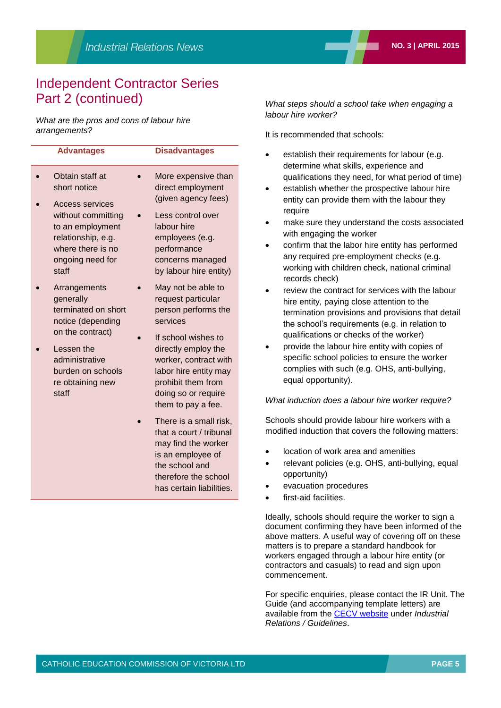# Independent Contractor Series Part 2 (continued)

*What are the pros and cons of labour hire arrangements?*

| <b>Advantages</b>                                                                                              | <b>Disadvantages</b>                                                                                                                                            |
|----------------------------------------------------------------------------------------------------------------|-----------------------------------------------------------------------------------------------------------------------------------------------------------------|
| Obtain staff at<br>short notice<br>Access services                                                             | More expensive than<br>direct employment<br>(given agency fees)                                                                                                 |
| without committing<br>to an employment<br>relationship, e.g.<br>where there is no<br>ongoing need for<br>staff | Less control over<br>labour hire<br>employees (e.g.<br>performance<br>concerns managed<br>by labour hire entity)                                                |
| Arrangements<br>generally<br>terminated on short<br>notice (depending                                          | May not be able to<br>request particular<br>person performs the<br>services                                                                                     |
| on the contract)<br>Lessen the<br>administrative<br>burden on schools<br>re obtaining new<br>staff             | If school wishes to<br>directly employ the<br>worker, contract with<br>labor hire entity may<br>prohibit them from<br>doing so or require<br>them to pay a fee. |
|                                                                                                                | There is a small risk,<br>that a court / tribunal<br>may find the worker<br>is an employee of<br>the school and                                                 |

*What steps should a school take when engaging a labour hire worker?*

It is recommended that schools:

- establish their requirements for labour (e.g. determine what skills, experience and qualifications they need, for what period of time)
- establish whether the prospective labour hire entity can provide them with the labour they require
- make sure they understand the costs associated with engaging the worker
- confirm that the labor hire entity has performed any required pre-employment checks (e.g. working with children check, national criminal records check)
- review the contract for services with the labour hire entity, paying close attention to the termination provisions and provisions that detail the school's requirements (e.g. in relation to qualifications or checks of the worker)
- provide the labour hire entity with copies of specific school policies to ensure the worker complies with such (e.g. OHS, anti-bullying, equal opportunity).

#### *What induction does a labour hire worker require?*

Schools should provide labour hire workers with a modified induction that covers the following matters:

- location of work area and amenities
- relevant policies (e.g. OHS, anti-bullying, equal opportunity)
- evacuation procedures
- first-aid facilities.

Ideally, schools should require the worker to sign a document confirming they have been informed of the above matters. A useful way of covering off on these matters is to prepare a standard handbook for workers engaged through a labour hire entity (or contractors and casuals) to read and sign upon commencement.

For specific enquiries, please contact the IR Unit. The Guide (and accompanying template letters) are available from the [CECV website](http://www.cecv.catholic.edu.au/) under *Industrial Relations / Guidelines*.

therefore the school has certain liabilities.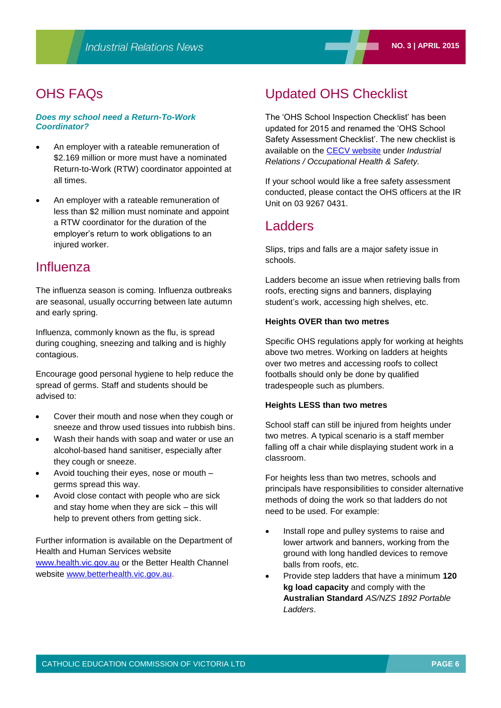# OHS FAQs

#### *Does my school need a Return-To-Work Coordinator?*

- An employer with a rateable remuneration of \$2.169 million or more must have a nominated Return-to-Work (RTW) coordinator appointed at all times.
- An employer with a rateable remuneration of less than \$2 million must nominate and appoint a RTW coordinator for the duration of the employer's return to work obligations to an injured worker.

# Influenza

The influenza season is coming. Influenza outbreaks are seasonal, usually occurring between late autumn and early spring.

Influenza, commonly known as the flu, is spread during coughing, sneezing and talking and is highly contagious.

Encourage good personal hygiene to help reduce the spread of germs. Staff and students should be advised to:

- Cover their mouth and nose when they cough or sneeze and throw used tissues into rubbish bins.
- Wash their hands with soap and water or use an alcohol-based hand sanitiser, especially after they cough or sneeze.
- Avoid touching their eyes, nose or mouth germs spread this way.
- Avoid close contact with people who are sick and stay home when they are sick – this will help to prevent others from getting sick.

Further information is available on the Department of Health and Human Services website [www.health.vic.gov.au](http://www.health.vic.gov.au/) or the Better Health Channel website [www.betterhealth.vic.gov.au.](http://www.betterhealth.vic.gov.au/)

# Updated OHS Checklist

The 'OHS School Inspection Checklist' has been updated for 2015 and renamed the 'OHS School Safety Assessment Checklist'. The new checklist is available on the [CECV website](http://www.cecv.catholic.edu.au/) under *Industrial Relations / Occupational Health & Safety.*

If your school would like a free safety assessment conducted, please contact the OHS officers at the IR Unit on 03 9267 0431.

# Ladders

Slips, trips and falls are a major safety issue in schools.

Ladders become an issue when retrieving balls from roofs, erecting signs and banners, displaying student's work, accessing high shelves, etc.

#### **Heights OVER than two metres**

Specific OHS regulations apply for working at heights above two metres. Working on ladders at heights over two metres and accessing roofs to collect footballs should only be done by qualified tradespeople such as plumbers.

#### **Heights LESS than two metres**

School staff can still be injured from heights under two metres. A typical scenario is a staff member falling off a chair while displaying student work in a classroom.

For heights less than two metres, schools and principals have responsibilities to consider alternative methods of doing the work so that ladders do not need to be used. For example:

- Install rope and pulley systems to raise and lower artwork and banners, working from the ground with long handled devices to remove balls from roofs, etc.
- Provide step ladders that have a minimum **120 kg load capacity** and comply with the **Australian Standard** *AS/NZS 1892 Portable Ladders*.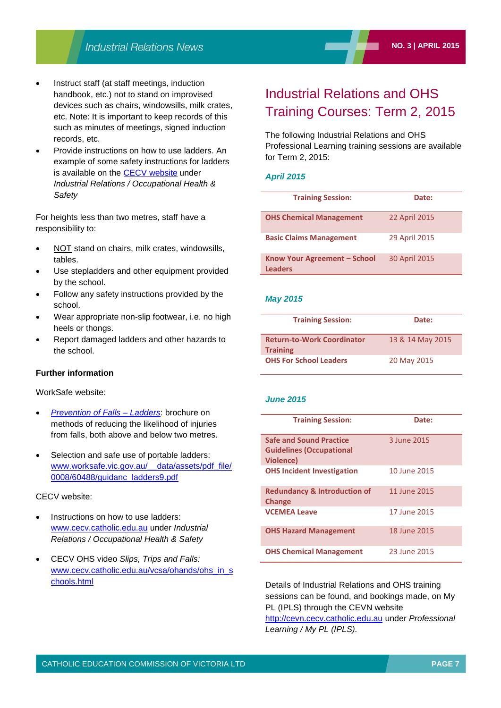- Instruct staff (at staff meetings, induction handbook, etc.) not to stand on improvised devices such as chairs, windowsills, milk crates, etc. Note: It is important to keep records of this such as minutes of meetings, signed induction records, etc.
- Provide instructions on how to use ladders. An example of some safety instructions for ladders is available on the [CECV website](http://www.cecv.catholic.edu.au/) under *Industrial Relations / Occupational Health & Safety*

For heights less than two metres, staff have a responsibility to:

- NOT stand on chairs, milk crates, windowsills, tables.
- Use stepladders and other equipment provided by the school.
- Follow any safety instructions provided by the school.
- Wear appropriate non-slip footwear, i.e. no high heels or thongs.
- Report damaged ladders and other hazards to the school.

#### **Further information**

WorkSafe website:

- *[Prevention of Falls –](http://www.worksafe.vic.gov.au/forms-and-publications/forms-and-publications/prevention-of-falls-ladders) Ladders*: brochure on methods of reducing the likelihood of injuries from falls, both above and below two metres.
- Selection and safe use of portable ladders: [www.worksafe.vic.gov.au/\\_\\_data/assets/pdf\\_file/](http://www.worksafe.vic.gov.au/__data/assets/pdf_file/0008/60488/guidanc_ladders9.pdf) [0008/60488/guidanc\\_ladders9.pdf](http://www.worksafe.vic.gov.au/__data/assets/pdf_file/0008/60488/guidanc_ladders9.pdf)

#### CECV website:

- Instructions on how to use ladders: [www.cecv.catholic.edu.au](http://www.cecv.catholic.edu.au/frameset.htm?page=industrial) under *Industrial Relations / Occupational Health & Safety*
- CECV OHS video *Slips, Trips and Falls:* [www.cecv.catholic.edu.au/vcsa/ohands/ohs\\_in\\_s](http://www.cecv.catholic.edu.au/vcsa/ohands/ohs_in_schools.html) [chools.html](http://www.cecv.catholic.edu.au/vcsa/ohands/ohs_in_schools.html)

# Industrial Relations and OHS Training Courses: Term 2, 2015

The following Industrial Relations and OHS Professional Learning training sessions are available for Term 2, 2015:

#### *April 2015*

| <b>Training Session:</b>                       | Date:         |
|------------------------------------------------|---------------|
| <b>OHS Chemical Management</b>                 | 22 April 2015 |
| <b>Basic Claims Management</b>                 | 29 April 2015 |
| Know Your Agreement - School<br><b>Leaders</b> | 30 April 2015 |

#### *May 2015*

| <b>Training Session:</b>                             | Date:            |
|------------------------------------------------------|------------------|
| <b>Return-to-Work Coordinator</b><br><b>Training</b> | 13 & 14 May 2015 |
| <b>OHS For School Leaders</b>                        | 20 May 2015      |

#### *June 2015*

| <b>Training Session:</b>                                                              | Date:        |
|---------------------------------------------------------------------------------------|--------------|
| <b>Safe and Sound Practice</b><br><b>Guidelines (Occupational</b><br><b>Violence)</b> | 3 June 2015  |
| <b>OHS Incident Investigation</b>                                                     | 10 June 2015 |
| <b>Redundancy &amp; Introduction of</b><br><b>Change</b>                              | 11 June 2015 |
| <b>VCEMEA Leave</b>                                                                   | 17 June 2015 |
| <b>OHS Hazard Management</b>                                                          | 18 June 2015 |
| <b>OHS Chemical Management</b>                                                        | 23 June 2015 |

Details of Industrial Relations and OHS training sessions can be found, and bookings made, on My PL (IPLS) through the CEVN website [http://cevn.cecv.catholic.edu.au](http://cevn.cecv.catholic.edu.au/) under *Professional Learning / My PL (IPLS).*